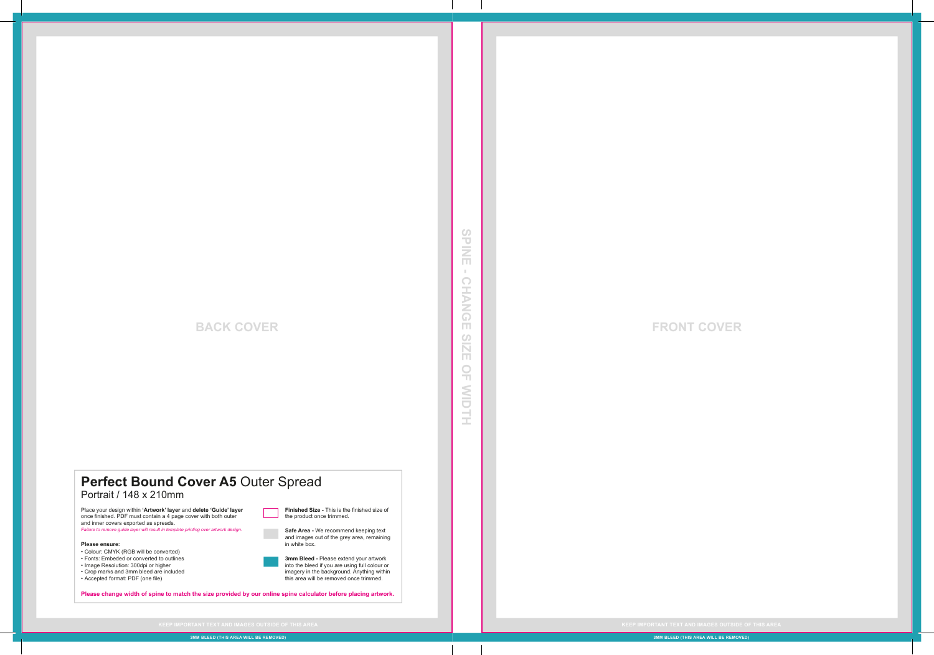## **BACK COVER**

# **SPINE - CHANGE SIZE OF WIDTH EINE**  $\pm$ **CHANGE**  $2|Z|S$  $\frac{\bigcirc}{\Box}$ NIDTH

 $\circ$ 

#### Perfect Bound Cover A5 Outer Spread Portrait / 148 x 210mm

Place your design within **'Artwork' layer** and **delete 'Guide' layer** once finished. PDF must contain a 4 page cover with both outer and inner covers exported as spreads. *Failure to remove guide layer will result in template printing over artwork design.*

**Please ensure:** 

• Colour: CMYK (RGB will be converted) • Fonts: Embeded or converted to outlines • Image Resolution: 300dpi or higher • Crop marks and 3mm bleed are included • Accepted format: PDF (one file)

**Please change width of spine to match the size provided by our online spine calculator before placing artwork.**

**Finished Size -** This is the finished size of

**Safe Area -** We recommend keeping text and images out of the grey area, remaining

**3mm Bleed -** Please extend your artwork into the bleed if you are using full colour or imagery in the background. Anything within this area will be removed once trimmed.

the product once trimmed.

in white box.

#### **FRONT COVER**

**3MM BLEED (THIS AREA WILL BE REMOVED)**